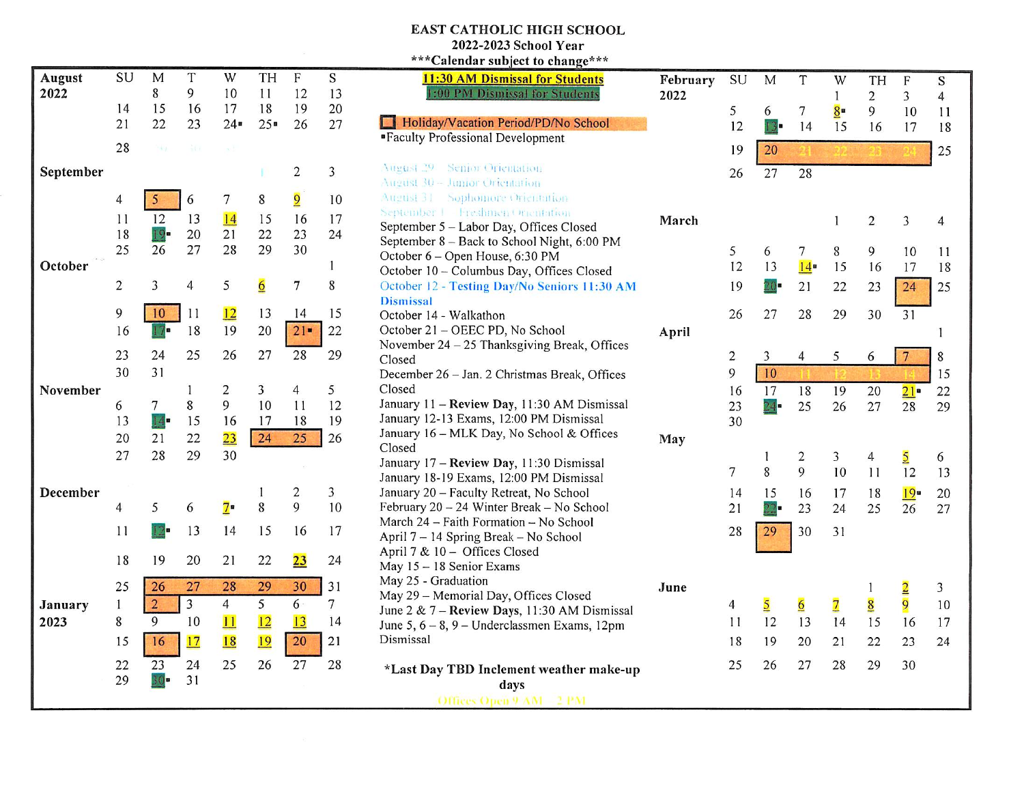## EAST CATHOLIC HIGH SCHOOL

2022-2023 School Year  $***C$ alendar subiect to change\*\*\*

| August    | SU               | M                                         | T            | W               | TH             | F                       | S            |
|-----------|------------------|-------------------------------------------|--------------|-----------------|----------------|-------------------------|--------------|
| 2022      |                  | 8                                         | 9            | 10              | 11             | 12                      | 13           |
|           | 14<br>21         | 15<br>22                                  | 16<br>23     | 17<br>$24 -$    | 18<br>$25 -$   | 19<br>26                | 20<br>27     |
|           |                  |                                           |              |                 |                |                         |              |
|           | 28               | $\rightarrow$ $\rightarrow$ $\rightarrow$ | 氧的           | $\mathbf{x}$ .  |                |                         |              |
| September |                  |                                           |              |                 | n              | $\boldsymbol{2}$        | 3            |
|           | $\boldsymbol{4}$ | 5                                         | 6            | $\tau$          | 8              | $\overline{9}$          | 10           |
|           | 11               | 12                                        | 13           | 14              | 15             | 16                      | 17           |
|           | 18               | $19-$                                     | 20           | 21              | 22             | 23                      | 24           |
|           | 25               | 26                                        | 27           | 28              | 29             | 30                      |              |
| October   |                  |                                           |              |                 |                |                         | $\mathbf{1}$ |
|           | $\overline{c}$   | 3                                         | 4            | 5               | $\overline{6}$ | 7                       | 8            |
|           | 9                | 10                                        | 11           | 12              | 13             | 14                      | 15           |
|           | 16               | 17                                        | 18           | 19              | 20             | $21 -$                  | 22           |
|           | 23               | 24                                        | 25           | 26              | 27             | 28                      | 29           |
|           | 30               | 31                                        |              |                 |                |                         |              |
| November  |                  |                                           | $\mathbf{1}$ | $\overline{c}$  | 3              | $\overline{4}$          | 5            |
|           |                  |                                           |              |                 | 10             | 11                      | 12           |
|           | 6                | $\overline{7}$                            | 8            | 9               |                |                         |              |
|           | 13               | 14.                                       | 15           | 16              | 17             | 18                      | 19           |
|           | 20               | 21                                        | 22           | $\overline{23}$ | 24             | 25                      | 26           |
|           | 27               | 28                                        | 29           | 30              |                |                         |              |
|           |                  |                                           |              |                 |                |                         |              |
| December  |                  |                                           |              |                 | $\mathbf{1}$   | $\overline{\mathbf{c}}$ | 3            |
|           | 4                | 5                                         | 6            | $7 -$           | 8              | 9                       | 10           |
|           | 11               | 12-                                       | 13           | 14              | 15             | 16                      | 17           |
|           | 18               | 19                                        | 20           | 21              | 22             | 23                      | 24           |
|           | 25               | 26                                        | 27           | 28              | 29             | 30                      | 31           |
| January   | $\mathbf{1}$     | $\overline{2}$                            | 3            | $\overline{4}$  | 5              | $6 -$                   | 7            |
| 2023      | 8                | 9                                         | 10           | 11              | 12             | 13                      | 14           |
|           | 15               | 16                                        | 17           | 18              | 19             | 20                      | 21           |
|           | 22               | 23                                        | 24           | 25              | 26             | 27                      | 28           |
|           | 29               | $30-$                                     | 31           |                 |                |                         |              |

| Calendar subject to change                                                      |             |
|---------------------------------------------------------------------------------|-------------|
| <b>11:30 AM Dismissal for Students</b>                                          | February    |
| 1:00 PM Dismissal for Students                                                  | 2022        |
| Holiday/Vacation Period/PD/No School                                            |             |
| "Faculty Professional Development                                               |             |
|                                                                                 |             |
| <b>August 29 Senior Orientation</b>                                             |             |
| August 30 - Junior Orientation                                                  |             |
| August 31 Sophomore Orientation                                                 |             |
| September   Freshmen Orientation                                                | March       |
| September 5 - Labor Day, Offices Closed                                         |             |
| September 8 - Back to School Night, 6:00 PM                                     |             |
| October 6 - Open House, 6:30 PM                                                 |             |
| October 10 - Columbus Day, Offices Closed                                       |             |
| October 12 - Testing Day/No Seniors 11:30 AM                                    |             |
| <b>Dismissal</b>                                                                |             |
| October 14 - Walkathon                                                          |             |
| October 21 - OEEC PD, No School<br>November 24 - 25 Thanksgiving Break, Offices | April       |
| Closed                                                                          |             |
| December 26 - Jan. 2 Christmas Break, Offices                                   |             |
| Closed                                                                          |             |
| January 11 - Review Day, 11:30 AM Dismissal                                     |             |
| January 12-13 Exams, 12:00 PM Dismissal                                         |             |
| January 16 - MLK Day, No School & Offices                                       |             |
| Closed                                                                          | May         |
| January 17 - Review Day, 11:30 Dismissal                                        |             |
| January 18-19 Exams, 12:00 PM Dismissal                                         |             |
| January 20 - Faculty Retreat, No School                                         |             |
| February 20 - 24 Winter Break - No School                                       |             |
| March 24 - Faith Formation - No School                                          |             |
| April 7 - 14 Spring Break - No School                                           |             |
| April 7 & 10 - Offices Closed                                                   |             |
| May 15 - 18 Senior Exams                                                        |             |
| May 25 - Graduation                                                             | <b>June</b> |
| May 29 - Memorial Day, Offices Closed                                           |             |
| June 2 & 7 - Review Days, 11:30 AM Dismissal                                    |             |
| June 5, $6 - 8$ , $9 -$ Underclassmen Exams, 12pm                               |             |
| Dismissal                                                                       |             |
| *Last Day TBD Inclement weather make-up                                         |             |
| days                                                                            |             |
| Offices Open 9 AM - 2 PM                                                        |             |

**SU** 

M

T

W 1  $8$ 

TH 2 9

F 3 10

S 4 11

7

6

5